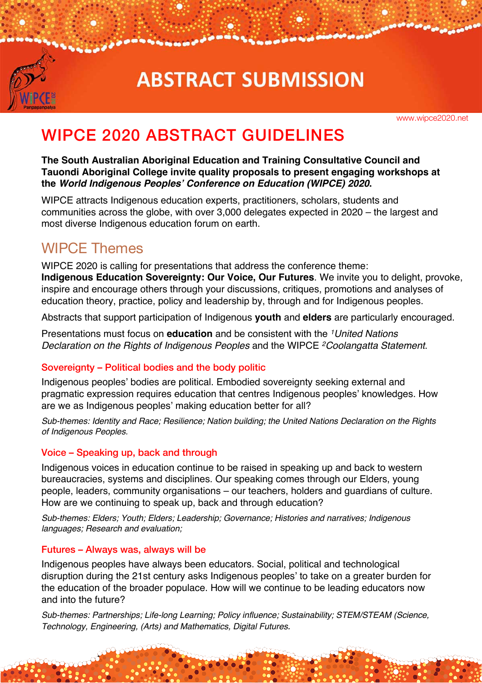

# **ABSTRACT SUBMISSION**

www.wipce2020.net

# WIPCE 2020 ABSTRACT GUIDELINES

**The South Australian Aboriginal Education and Training Consultative Council and Tauondi Aboriginal College invite quality proposals to present engaging workshops at the** *World Indigenous Peoples' Conference on Education (WIPCE) 2020***.** 

WIPCE attracts Indigenous education experts, practitioners, scholars, students and communities across the globe, with over 3,000 delegates expected in 2020 – the largest and most diverse Indigenous education forum on earth.

# WIPCE Themes

WIPCE 2020 is calling for presentations that address the conference theme: **Indigenous Education Sovereignty: Our Voice, Our Futures**. We invite you to delight, provoke, inspire and encourage others through your discussions, critiques, promotions and analyses of education theory, practice, policy and leadership by, through and for Indigenous peoples.

Abstracts that support participation of Indigenous **youth** and **elders** are particularly encouraged.

Presentations must focus on **education** and be consistent with the *1United Nations Declaration on the Rights of Indigenous Peoples* and the WIPCE *2Coolangatta Statement*.

### Sovereignty – Political bodies and the body politic

Indigenous peoples' bodies are political. Embodied sovereignty seeking external and pragmatic expression requires education that centres Indigenous peoples' knowledges. How are we as Indigenous peoples' making education better for all?

*Sub-themes: Identity and Race; Resilience; Nation building; the United Nations Declaration on the Rights of Indigenous Peoples.* 

#### Voice – Speaking up, back and through

Indigenous voices in education continue to be raised in speaking up and back to western bureaucracies, systems and disciplines. Our speaking comes through our Elders, young people, leaders, community organisations – our teachers, holders and guardians of culture. How are we continuing to speak up, back and through education?

*Sub-themes: Elders; Youth; Elders; Leadership; Governance; Histories and narratives; Indigenous languages; Research and evaluation;* 

#### Futures – Always was, always will be

Indigenous peoples have always been educators. Social, political and technological disruption during the 21st century asks Indigenous peoples' to take on a greater burden for the education of the broader populace. How will we continue to be leading educators now and into the future?

*Sub-themes: Partnerships; Life-long Learning; Policy influence; Sustainability; STEM/STEAM (Science, Technology, Engineering, (Arts) and Mathematics, Digital Futures.*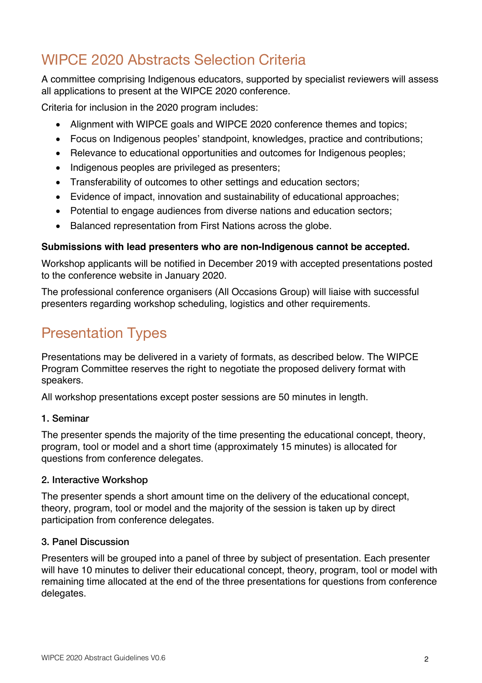# WIPCE 2020 Abstracts Selection Criteria

A committee comprising Indigenous educators, supported by specialist reviewers will assess all applications to present at the WIPCE 2020 conference.

Criteria for inclusion in the 2020 program includes:

- Alignment with WIPCE goals and WIPCE 2020 conference themes and topics;
- Focus on Indigenous peoples' standpoint, knowledges, practice and contributions;
- Relevance to educational opportunities and outcomes for Indigenous peoples;
- Indigenous peoples are privileged as presenters:
- Transferability of outcomes to other settings and education sectors;
- Evidence of impact, innovation and sustainability of educational approaches;
- Potential to engage audiences from diverse nations and education sectors;
- Balanced representation from First Nations across the globe.

### **Submissions with lead presenters who are non-Indigenous cannot be accepted.**

Workshop applicants will be notified in December 2019 with accepted presentations posted to the conference website in January 2020.

The professional conference organisers (All Occasions Group) will liaise with successful presenters regarding workshop scheduling, logistics and other requirements.

# Presentation Types

Presentations may be delivered in a variety of formats, as described below. The WIPCE Program Committee reserves the right to negotiate the proposed delivery format with speakers.

All workshop presentations except poster sessions are 50 minutes in length.

### 1. Seminar

The presenter spends the majority of the time presenting the educational concept, theory, program, tool or model and a short time (approximately 15 minutes) is allocated for questions from conference delegates.

### 2. Interactive Workshop

The presenter spends a short amount time on the delivery of the educational concept, theory, program, tool or model and the majority of the session is taken up by direct participation from conference delegates.

### 3. Panel Discussion

Presenters will be grouped into a panel of three by subject of presentation. Each presenter will have 10 minutes to deliver their educational concept, theory, program, tool or model with remaining time allocated at the end of the three presentations for questions from conference delegates.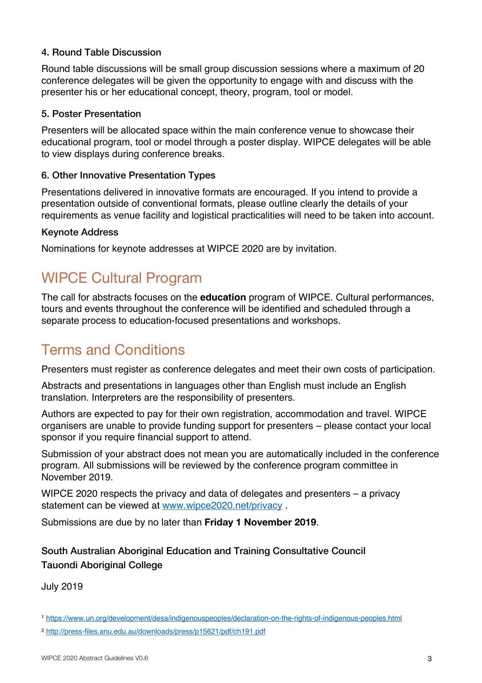#### 4. Round Table Discussion

Round table discussions will be small group discussion sessions where a maximum of 20 conference delegates will be given the opportunity to engage with and discuss with the presenter his or her educational concept, theory, program, tool or model.

#### 5. Poster Presentation

Presenters will be allocated space within the main conference venue to showcase their educational program, tool or model through a poster display. WIPCE delegates will be able to view displays during conference breaks.

#### 6. Other Innovative Presentation Types

Presentations delivered in innovative formats are encouraged. If you intend to provide a presentation outside of conventional formats, please outline clearly the details of your requirements as venue facility and logistical practicalities will need to be taken into account.

#### Keynote Address

Nominations for keynote addresses at WIPCE 2020 are by invitation.

### WIPCE Cultural Program

The call for abstracts focuses on the **education** program of WIPCE. Cultural performances, tours and events throughout the conference will be identified and scheduled through a separate process to education-focused presentations and workshops.

# Terms and Conditions

Presenters must register as conference delegates and meet their own costs of participation.

Abstracts and presentations in languages other than English must include an English translation. Interpreters are the responsibility of presenters.

Authors are expected to pay for their own registration, accommodation and travel. WIPCE organisers are unable to provide funding support for presenters – please contact your local sponsor if you require financial support to attend.

Submission of your abstract does not mean you are automatically included in the conference program. All submissions will be reviewed by the conference program committee in November 2019.

WIPCE 2020 respects the privacy and data of delegates and presenters – a privacy statement can be viewed at www.wipce2020.net/privacy .

Submissions are due by no later than **Friday 1 November 2019**.

South Australian Aboriginal Education and Training Consultative Council Tauondi Aboriginal College

July 2019

<sup>1</sup> https://www.un.org/development/desa/indigenouspeoples/declaration-on-the-rights-of-indigenous-peoples.html

<sup>2</sup> http://press-files.anu.edu.au/downloads/press/p15621/pdf/ch191.pdf